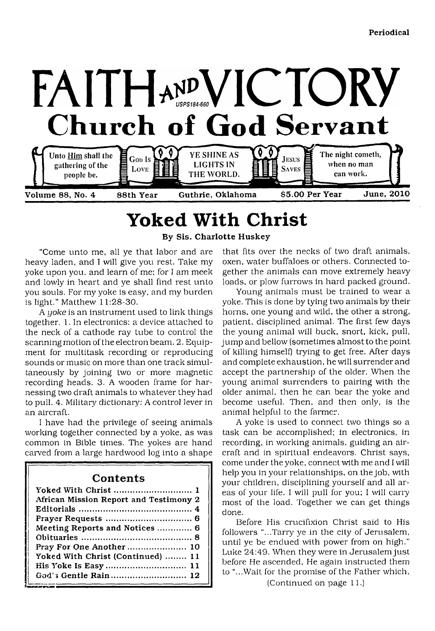

# **Yoked With Christ**

**By Sis. Charlotte Huskey**

"Come unto me, all ye that labor and are heavy laden, and I will give you rest. Take my yoke upon you, and learn of me; for I am meek and lowly in heart and ye shall find rest unto you souls. For my yoke is easy, and my burden is light." Matthew 11:28-30.

A *yoke* is an instrument used to link things together. 1. In electronics: a device attached to the neck of a cathode ray tube to control the scanning motion of the electron beam. 2. Equipment for multitask recording or reproducing sounds or music on more than one track simultaneously by joining two or more magnetic recording heads. 3. A wooden frame for harnessing two draft animals to whatever they had to pull. 4. Military dictionary: A control lever in an aircraft.

I have had the privilege of seeing animals working together connected by a yoke, as was common in Bible times. The yokes are hand carved from a large hardwood log into a shape

# **Contents**

| African Mission Report and Testimony 2 |
|----------------------------------------|
|                                        |
|                                        |
| Meeting Reports and Notices  6         |
|                                        |
| Pray For One Another 10                |
| Yoked With Christ (Continued)  11      |
| His Yoke Is Easy  11                   |
|                                        |

that fits over the necks of two draft animals, oxen, water buffaloes or others. Connected together the animals can move extremely heavy loads, or plow furrows in hard packed ground.

Young animals must be trained to wear a yoke. This is done by tying two animals by their horns, one young and wild, the other a strong, patient, disciplined animal. The first few days the young animal will buck, snort, kick, pull, jump and bellow (sometimes almost to the point of killing himself) trying to get free. After days and complete exhaustion, he will surrender and accept the partnership of the older. When the young animal surrenders to pairing with the older animal, then he can bear the yoke and become useful. Then, and then only, is the animal helpful to the farmer.

A yoke is used to connect two things so a task can be accomplished; in electronics, in recording, in working animals, guiding an aircraft and in spiritual endeavors. Christ says, come under the yoke, connect with me and I will help you in your relationships, on the job, with your children, disciplining yourself and all areas of your life. I will pull for you; I will cany most of the load. Together we can get things done.

Before His crucifixion Christ said to His followers "...Tarry ye in the city of Jerusalem, until ye be endued with power from on high." Luke 24:49. When they were in Jerusalem just before He ascended, He again instructed them to "...Wait for the promise of the Father which,

(Continued on page 11.)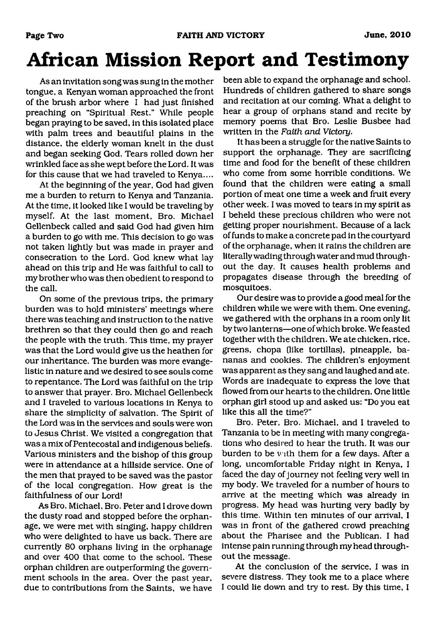# **African Mission Report and Testimony**

As an invitation song was sung in the mother tongue, a Kenyan woman approached the front of the brush arbor where I had just finished preaching on "Spiritual Rest." While people began praying to be saved, in this isolated place with palm trees and beautiful plains in the distance, the elderly woman knelt in the dust and began seeking God. Tears rolled down her wrinkled face as she wept before the Lord. It was for this cause that we had traveled to Kenya....

At the beginning of the year, God had given me a burden to return to Kenya and Tanzania. At the time, it looked like I would be traveling by myself. At the last moment, Bro. Michael Gellenbeck called and said God had given him a burden to go with me. This decision to go was not taken lightly but was made in prayer and consecration to the Lord. God knew what lay ahead on this trip and He was faithful to call to my brother who was then obedient to respond to the call.

On some of the previous trips, the primary burden was to hold ministers' meetings where there was teaching and instruction to the native brethren so that they could then go and reach the people with the truth. This time, my prayer was that the Lord would give us the heathen for our inheritance. The burden was more evangelistic in nature and we desired to see souls come to repentance. The Lord was faithful on the trip to answer that prayer. Bro. Michael Gellenbeck and I traveled to various locations in Kenya to share the simplicity of salvation. The Spirit of the Lord was in the services and souls were won to Jesus Christ. We visited a congregation that was a mix of Pentecostal and indigenous beliefs. Various ministers and the bishop of this group were in attendance at a hillside service. One of the men that prayed to be saved was the pastor of the local congregation. How great is the faithfulness of our Lord!

As Bro. Michael, Bro. Peter and I drove down the dusty road and stopped before the orphanage, we were met with singing, happy children who were delighted to have us back. There are currently 80 orphans living in the orphanage and over 400 that come to the school. These orphan children are outperforming the government schools in the area. Over the past year, due to contributions from the Saints, we have

been able to expand the orphanage and school. Hundreds of children gathered to share songs and recitation at our coming. What a delight to hear a group of orphans stand and recite by memory poems that Bro. Leslie Busbee had written in the *Faith and Victory.*

It has been a struggle for the native Saints to support the orphanage. They are sacrificing time and food for the benefit of these children who come from some horrible conditions. We found that the children were eating a small portion of meat one time a week and fruit every other week. I was moved to tears in my spirit as I beheld these precious children who were not getting proper nourishment. Because of a lack of funds to make a concrete pad in the courtyard of the orphanage, when it rains the children are literally wading through water and mud throughout the day. It causes health problems and propagates disease through the breeding of mosquitoes.

Our desire was to provide a good meal for the children while we were with them. One evening, we gathered with the orphans in a room only lit by two lanterns—one of which broke. We feasted together with the children. We ate chicken, rice, greens, chopa (like tortillas), pineapple, bananas and cookies. The children's enjoyment was apparent as they sang and laughed and ate. Words are inadequate to express the love that flowed from our hearts to the children. One little orphan girl stood up and asked us: "Do you eat like this all the time?"

Bro. Peter, Bro. Michael, and I traveled to Tanzania to be in meeting with many congregations who desired to hear the truth. It was our burden to be with them for a few days. After a long, uncomfortable Friday night in Kenya, I faced the day of journey not feeling very well in my body. We traveled for a number of hours to arrive at the meeting which was already in progress. My head was hurting very badly by this time. Within ten minutes of our arrival, I was in front of the gathered crowd preaching about the Pharisee and the Publican. I had intense pain running through my head throughout the message.

At the conclusion of the service, I was in severe distress. They took me to a place where I could lie down and try to rest. By this time, I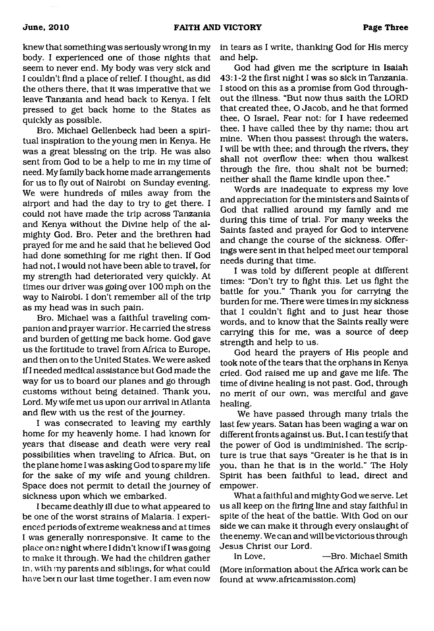knew that something was seriously wrong in my body. I experienced one of those nights that seem to never end. My body was very sick and I couldn't find a place of relief. I thought, as did the others there, that it was imperative that we leave Tanzania and head back to Kenya. I felt pressed to get back home to the States as quickly as possible.

Bro. Michael Gellenbeck had been a spiritual inspiration to the young men in Kenya. He was a great blessing on the trip. He was also sent from God to be a help to me in my time of need. My family back home made arrangements for us to fly out of Nairobi on Sunday evening. We were hundreds of miles away from the airport and had the day to try to get there. I could not have made the trip across Tanzania and Kenya without the Divine help of the almighty God. Bro. Peter and the brethren had prayed for me and he said that he believed God had done something for me right then. If God had not, I would not have been able to travel, for my strength had deteriorated very quickly. At times our driver was going over 100 mph on the way to Nairobi. I don't remember all of the trip as my head was in such pain.

Bro. Michael was a faithful traveling companion and prayer warrior. He carried the stress and burden of getting me back home. God gave us the fortitude to travel from Africa to Europe, and then on to the United States. We were asked if I needed medical assistance but God made the way for us to board our planes and go through customs without being detained. Thank you, Lord. My wife met us upon our arrival in Atlanta and flew with us the rest of the journey.

I was consecrated to leaving my earthly home for my heavenly home. I had known for years that disease and death were very real possibilities when traveling to Africa. But, on the plane home I was asking God to spare my life for the sake of my wife and young children. Space does not permit to detail the journey of sickness upon which we embarked.

I became deathly ill due to what appeared to be one of the worst strains of Malaria. I experienced periods of extreme weakness and at times I was generally nonresponsive. It came to the place one night where I didn't know if I was going to make it through. We had the children gather in, with my parents and siblings, for what could have been our last time together. I am even now

in tears as I write, thanking God for His mercy and help.

God had given me the scripture in Isaiah 43:1-2 the first night I was so sick in Tanzania. I stood on this as a promise from God throughout the illness. "But now thus saith the LORD that created thee, O Jacob, and he that formed thee, O Israel, Fear not: for I have redeemed thee, I have called thee by thy name; thou art mine. When thou passest through the waters, I will be with thee; and through the rivers, they shall not overflow thee: when thou walkest through the fire, thou shalt not be burned; neither shall the flame kindle upon thee."

Words are inadequate to express my love and appreciation for the ministers and Saints of God that rallied around my family and me during this time of trial. For many weeks the Saints fasted and prayed for God to intervene and change the course of the sickness. Offerings were sent in that helped meet our temporal needs during that time.

I was told by different people at different times: "Don't try to fight this. Let us fight the battle for you." Thank you for carrying the burden for me. There were times in my sickness that I couldn't fight and to just hear those words, and to know that the Saints really were carrying this for me, was a source of deep strength and help to us.

God heard the prayers of His people and took note of the tears that the orphans in Kenya cried. God raised me up and gave me life. The time of divine healing is not past. God, through no merit of our own, was merciful and gave healing.

We have passed through many trials the last few years. Satan has been waging a war on different fronts against us. But, I can testify that the power of God is undiminished. The scripture is true that says "Greater is he that is in you, than he that is in the world." The Holy Spirit has been faithful to lead, direct and empower.

What a faithful and mighty God we serve. Let us all keep on the firing line and stay faithful in spite of the heat of the battle. With God on our side we can make it through every onslaught of the enemy. We can and will be victorious through Jesus Christ our Lord.

In Love, —Bro. Michael Smith (More information about the Africa work can be found at [www.africamission.com](http://www.africamission.com))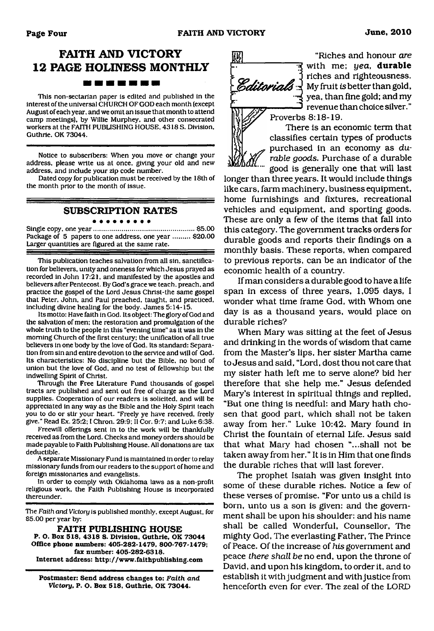# **FAITH AND VICTORY 12 PAGE HOLINESS MONTHLY BOOK IS AN UP AN UP**

This non-sectarian paper is edited and published in the interest of the universal CHURCH OF GOD each month (except August of each year, and we omit an issue that month to attend camp meetings), by Willie Murphey. and other consecrated workers at the FAITH PUBLISHING HOUSE. 4318 S. Division. Guthrie. OK 73044.

Notice to subscribers: When you move or change your address, please write us at once, giving your old and new address, and include your zip code number.

Dated copy for publication must be received by the 18th of the month prior to the month of issue.

**SUBSCRIPTION RATES**

#### Single copy, one year..................................................... \$5.00 Package of 5 papers to one address, one year ......... \$20.00 Larger quantities are figured at the same rate.

This publication teaches salvation from all sin. sanctification for believers, unity and oneness for which Jesus prayed as recorded in John 17:21, and manifested by the apostles and believers after Pentecost. By God's grace we teach, preach, and practice the gospel of the Lord Jesus Christ-the same gospel that Peter. John, and Paul preached, taught, and practiced, including divine healing for the body. James 5:14-15.

Its motto: Have faith in God. Its object: The glory of God and the salvation of men; the restoration and promulgation of the whole truth to the people in this "evening time" as it was in the morning Church of the first century: the unification of all true believers in one body by the love of God. Its standard: Separation from sin and entire devotion to the service and will of God. Its characteristics: No discipline but the Bible, no bond of union but the love of God, and no test of fellowship but the indwelling Spirit of Christ.

Through the Free Literature Fund thousands of gospel tracts are published and sent out free of charge as the Lord supplies. Cooperation of our readers is solicited, and will be appreciated in any way as the Bible and the Holy Spirit teach you to do or stir your heart. "Freely ye have received, freely give." Read Ex. 25:2; I Chron. 29:9: II Cor. 9:7; and Luke 6:38.

Freewill offerings sent in to the work will be thankfully received as from the Lord. Checks and money orders should be made payable to Faith Publishing House. All donations are tax deductible.

A separate Missionary Fund is maintained in order to relay missionary funds from our readers to the support of home and foreign missionaries and evangelists.

In order to comply with Oklahoma laws as a non-profit religious work, the Faith Publishing House is incorporated thereunder.

The *Faith and Victory* is published monthly, except August, for \$5.00 per year by:

**FAITH PUBLISHING HOUSE P. O. Box 518, 4318 S. Division, Guthrie, OK 73044 Office phone numbers: 405-282-1479. 800-767-1479; fax number: 405-282-6318. Internet address: <http://www.faithpublishing.com>**

**Postmaster: Send address changes to:** *Faith and Victory,* **P. O. Box 518, Guthrie, OK 73044.**



*m* "Riches and honour *are* j-• \* with me; *yea,* **durable** riches and righteousness. Editorials \ My fruit is better than gold, yea, than fine gold; and my  $\mathfrak j$  revenue than choice silver."

Proverbs 8:18-19. There is an economic term that classifies certain types of products purchased in an economy as *durable goods.* Purchase of a durable good is generally one that will last

longer than three years. It would include things like cars, farm machinery, business equipment, home furnishings and fixtures, recreational vehicles and equipment, and sporting goods. These are only a few of the items that fall into this category. The government tracks orders for durable goods and reports their findings on a monthly basis. These reports, when compared to previous reports, can be an indicator of the economic health of a country.

If man considers a durable good to have a life span in excess of three years, 1,095 days, I wonder what time frame God, with Whom one day is as a thousand years, would place on durable riches?

When Mary was sitting at the feet of Jesus and drinking in the words of wisdom that came from the Master's lips, her sister Martha came to Jesus and said, "Lord, dost thou not care that my sister hath left me to serve alone? bid her therefore that she help me." Jesus defended Mary's interest in spiritual things and replied, "But one thing is needful: and Mary hath chosen that good part, which shall not be taken away from her." Luke 10:42. Mary found in Christ the fountain of eternal Life. Jesus said that what Mary had chosen "...shall not be taken away from her." It is in Him that one finds the durable riches that will last forever.

The prophet Isaiah was given insight into some of these durable riches. Notice a few of these verses of promise. "For unto us a child is born, unto us a son is given: and the government shall be upon his shoulder: and his name shall be called Wonderful, Counsellor, The mighty God, The everlasting Father, The Prince of Peace. Of the increase of *his* government and peace *there shall be* no end, upon the throne of David, and upon his kingdom, to order it, and to establish it with judgment and with justice from henceforth even for ever. The zeal of the LORD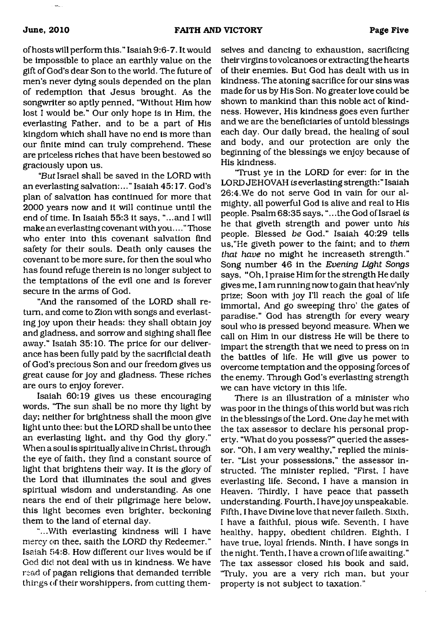of hosts will perform this." Isaiah 9:6-7. It would be impossible to place an earthly value on the gift of God's dear Son to the world. The future of men's never dying souls depended on the plan of redemption that Jesus brought. As the songwriter so aptly penned, "Without Him how lost I would be." Our only hope is in Him, the everlasting Father, and to be a part of His kingdom which shall have no end is more than our finite mind can truly comprehend. These are priceless riches that have been bestowed so graciously upon us.

"But Israel shall be saved in the LORD with an everlasting salvation:..." Isaiah 45:17. God's plan of salvation has continued for more that 2000 years now and it will continue until the end of time. In Isaiah 55:3 it says, "...and I will make an everlasting covenant with you...." Those who enter into this covenant salvation find safety for their souls. Death only causes the covenant to be more sure, for then the soul who has found refuge therein is no longer subject to the temptations of the evil one and is forever secure in the arms of God.

"And the ransomed of the LORD shall return, and come to Zion with songs and everlasting joy upon their heads: they shall obtain joy and gladness, and sorrow and sighing shall flee away." Isaiah 35:10. The price for our deliverance has been fully paid by the sacrificial death of God's precious Son and our freedom gives us great cause for joy and gladness. These riches are ours to enjoy forever.

Isaiah 60:19 gives us these encouraging words, "The sun shall be no more thy light by day; neither for brightness shall the moon give light unto thee: but the LORD shall be unto thee an everlasting light, and thy God thy glory." When a soul is spiritually alive in Christ, through the eye of faith, they find a constant source of light that brightens their way. It is the glory of the Lord that illuminates the soul and gives spiritual wisdom and understanding. As one nears the end of their pilgrimage here below, this light becomes even brighter, beckoning them to the land of eternal day.

"...With everlasting kindness will I have mercy on thee, saith the LORD thy Redeemer." Isaiah 54:8. How different our lives would be if God did not deal with us in kindness. We have read of pagan religions that demanded terrible things of their worshippers, from cutting themselves and dancing to exhaustion, sacrificing their virgins to volcanoes or extracting the hearts of their enemies. But God has dealt with us in kindness. The atoning sacrifice for our sins was made for us by His Son. No greater love could be shown to mankind than this noble act of kindness. However, His kindness goes even further and we are the beneficiaries of untold blessings each day. Our daily bread, the healing of soul and body, and our protection are only the beginning of the blessings we enjoy because of His kindness.

"Trust ye in the LORD for ever: for in the LORD JEHOVAH *is* everlasting strength:" Isaiah 26:4.We do not serve God in vain for our almighty, all powerful God is alive and real to His people. Psalm 68:35 says, "...the God of Israel *is* he that giveth strength and power unto *his* people. Blessed *be* God." Isaiah 40:29 tells us,"He giveth power to the faint; and to *them that have* no might he increaseth strength." Song number 46 in the *Evening Light Songs* says, "Oh, I praise Him for the strength He daily gives me, I am running now to gain that heav'nly prize; Soon with joy I'll reach the goal of life immortal, And go sweeping thro' the gates of paradise." God has strength for every weary soul who is pressed beyond measure. When we call on Him in our distress He will be there to impart the strength that we need to press on in the battles of life. He will give us power to overcome temptation and the opposing forces of the enemy. Through God's everlasting strength we can have victory in this life.

There is an illustration of a minister who was poor in the things of this world but was rich in the blessings of the Lord. One day he met with the tax assessor to declare his personal property. "What do you possess?" queried the assessor. "Oh, I am very wealthy," replied the minister. "List your possessions," the assessor instructed. The minister replied, "First, I have everlasting life. Second, I have a mansion in Heaven. Thirdly, I have peace that passeth understanding. Fourth, I have joy unspeakable. Fifth, I have Divine love that never faileth. Sixth, I have a faithful, pious wife. Seventh, I have healthy, happy, obedient children. Eighth, I have true, loyal friends. Ninth, I have songs in the night. Tenth, I have a crown of life awaiting." The tax assessor closed his book and said, 'Truly, you are a very rich man, but your property is not subject to taxation."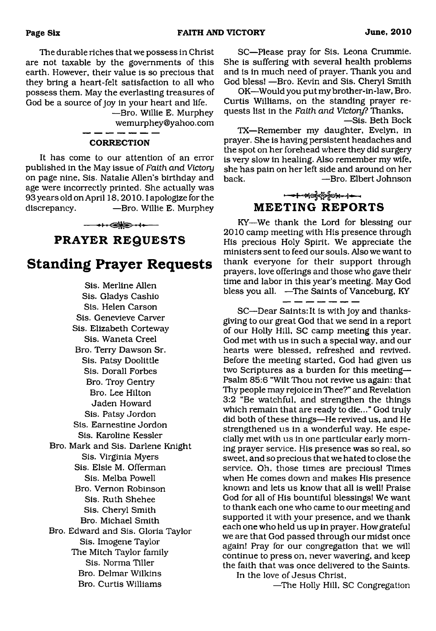The durable riches that we possess in Christ are not taxable by the governments of this earth. However, their value is so precious that they bring a heart-felt satisfaction to all who possess them. May the everlasting treasures of God be a source of joy in your heart and life.

—Bro. Willie E. Murphey [wemurphey@yahoo.com](mailto:wemurphey@yahoo.com)

#### **CORRECTION**

It has come to our attention of an error published in the May issue of *Faith and. Victory* on page nine, Sis. Natalie Allen's birthday and age were incorrectly printed. She actually was 93 years old on April 18,2010.1 apologize for the discrepancy. ——Bro. Willie E. Murphey

# ↔← ← **PRAYER REQUESTS**

# **Standing Prayer Requests**

Sis. Merline Allen Sis. Gladys Cashio Sis. Helen Carson Sis. Genevieve Carver Sis. Elizabeth Corteway Sis. Waneta Creel Bro. Terry Dawson Sr. Sis. Patsy Doolittle Sis. Dorall Forbes Bro. Troy Gentry Bro. Lee Hilton Jaden Howard Sis. Patsy Jordon Sis. Earnestine Jordon Sis. Karoline Kessler Bro. Mark and Sis. Darlene Knight Sis. Virginia Myers Sis. Elsie M. Offerman Sis. Melba Powell Bro. Vernon Robinson Sis. Ruth Shehee Sis. Cheryl Smith Bro. Michael Smith Bro. Edward and Sis. Gloria Taylor Sis. Imogene Taylor The Mitch Taylor family Sis. Norma Tiller Bro. Delmar Wilkins Bro. Curtis Williams

SC—Please pray for Sis. Leona Crummie. She is suffering with several health problems and is in much need of prayer. Thank you and God bless! —Bro. Kevin and Sis. Cheryl Smith

OK—Would you put my brother-in-law, Bro. Curtis Williams, on the standing prayer requests list in the *Faith and Victory?* Thanks,

—Sis. Beth Bock TX—Remember my daughter, Evelyn, in prayer. She is having persistent headaches and the spot on her forehead where they did surgery is very slow in healing. Also remember my wife, she has pain on her left side and around on her back. — <del>Bro. Elbert Johnson</del>

### **- チーキーディングシャー MEETING REPORTS**

KY—We thank the Lord for blessing our 2010 camp meeting with His presence through His precious Holy Spirit. We appreciate the ministers sent to feed our souls. Also we want to thank everyone for their support through prayers, love offerings and those who gave their time and labor in this year's meeting. May God bless you all. —The Saints of Vanceburg, KY

- - - -

SC—Dear Saints: It is with joy and thanksgiving to our great God that we send in a report of our Holly Hill, SC camp meeting this year. God met with us in such a special way, and our hearts were blessed, refreshed and revived. Before the meeting started, God had given us two Scriptures as a burden for this meeting— Psalm 85:6 "Wilt Thou not revive us again: that Thy people may rejoice in Thee?" and Revelation 3:2 "Be watchful, and strengthen the things which remain that are ready to die..." God truly did both of these things—He revived us, and He strengthened us in a wonderful way. He especially met with us in one particular early morning prayer service. His presence was so real, so sweet, and so precious that we hated to close the service. Oh, those times are precious! Times when He comes down and makes His presence known and lets us know that all is well! Praise God for all of His bountiful blessings! We want to thank each one who came to our meeting and supported it with your presence, and we thank each one who held us up in prayer. How grateful we are that God passed through our midst once again! Pray for our congregation that we will continue to press on, never wavering, and keep the faith that was once delivered to the Saints.

In the love of Jesus Christ,

—The Holly Hill, SC Congregation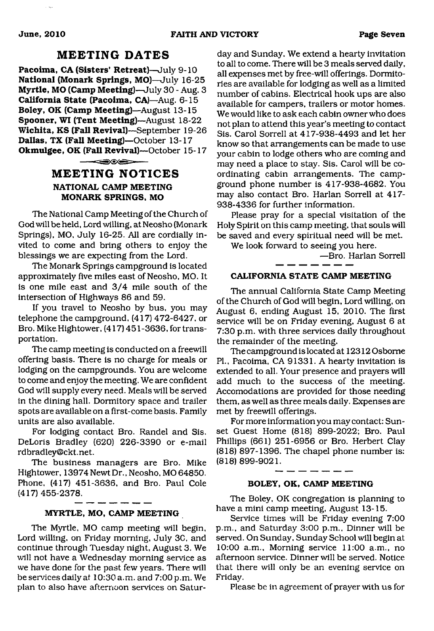### **MEETING DATES**

**Pacoima, CA (Sisters' Retreat)**—July 9-10 **National (Monark Springs, MO)**—July 16-25 **Myrtle, MO (Camp Meeting)**—July 30 - Aug. 3 **California State (Pacoima, CA)**—Aug. 6-15 **Boley, OK (Camp Meeting)**—August 13-15 **Spooner, WI (Tent Meeting)**—August 18-22 **Wichita, KS (Fall Revival)**—September 19-26 **Dallas, TX (Fall Meeting)**—October 13-17 **Okmulgee, OK (Fall Revival)**—October 15-17

#### $\overbrace{\hspace{15em}}^{n}$

### **MEETING NOTICES NATIONAL CAMP MEETING MONARK SPRINGS, MO**

The National Camp Meeting of the Church of God will be held, Lord willing, at Neosho (Monark Springs), MO, July 16-25. All are cordially invited to come and bring others to enjoy the blessings we are expecting from the Lord.

The Monark Springs campground is located approximately five miles east of Neosho, MO. It is one mile east and 3/4 mile south of the intersection of Highways 86 and 59.

If you travel to Neosho by bus, you may telephone the campground, (417) 472-6427, or Bro. Mike Hightower, (417) 451 -3636, for transportation.

The camp meeting is conducted on a freewill offering basis. There is no charge for meals or lodging on the campgrounds. You are welcome to come and enjoy the meeting. We are confident God will supply every need. Meals will be served in the dining hall. Dormitory space and trailer spots are available on a first-come basis. Family units are also available.

For lodging contact Bro. Randel and Sis. DeLoris Bradley (620) 226-3390 or e-mail [rdbradley@ckt.net.](mailto:rdbradley@ckt.net)

The business managers are Bro. Mike Hightower, 13974 Newt Dr., Neosho. MO 64850. Phone, (417) 451-3636, and Bro. Paul Cole (417) 455-2378.

#### **MYRTLE, MO, CAMP MEETING**

The Myrtle, MO camp meeting will begin, Lord willing, on Friday morning, July 30, and continue through Tuesday night, August 3. We will not have a Wednesday morning service as we have done for the past few years. There will be services daily af 10:30 a.m. and 7:00 p.m. We plan to also have afternoon services on Satur-

day and Sunday. We extend a hearty invitation to all to come. There will be 3 meals served daily, all expenses met by free-will offerings. Dormitories are available for lodging as well as a limited number of cabins. Electrical hook ups are also available for campers, trailers or motor homes. We would like to ask each cabin owner who does not plan to attend this year's meeting to contact Sis. Carol Sorrell at 417-938-4493 and let her know so that arrangements can be made to use your cabin to lodge others who are coming and may need a place to stay. Sis. Carol will be coordinating cabin arrangements. The campground phone number is 417-938-4682. You may also contact Bro. Harlan Sorrell at 417- 938-4336 for further information.

Please pray for a special visitation of the Holy Spirit on this camp meeting, that souls will be saved and every spiritual need will be met.

We look forward to seeing you here.

—Bro. Harlan Sorrell

#### **CALIFORNIA STATE CAMP MEETING**

The annual California State Camp Meeting of the Church of God will begin, Lord willing, on August 6, ending August 15, 2010. The first service will be on Friday evening, August 6 at 7:30 p.m. with three services daily throughout the remainder of the meeting.

The campground is located at 12312 Osborne PL, Pacoima, CA 91331. A hearty invitation is extended to all. Your presence and prayers will add much to the success of the meeting. Accomodations are provided for those needing them, as well as three meals daily. Expenses are met by freewill offerings.

For more information you may contact: Sunset Guest Home (818) 899-2022; Bro. Paul Phillips (661) 251-6956 or Bro. Herbert Clay (818) 897-1396. The chapel phone number is: (818) 899-9021.

#### **BOLEY, OK, CAMP MEETING**

The Boley, OK congregation is planning to have a mini camp meeting, August 13-15.

Service times will be Friday evening 7:00 p.m., and Saturday 3:00 p.m., Dinner will be served. On Sunday, Sunday School will begin at 10:00 a.m., Morning service 11:00 a.m., no afternoon service. Dinner will be served. Notice that there will only be an evening service on Friday.

Please be in agreement of prayer with us for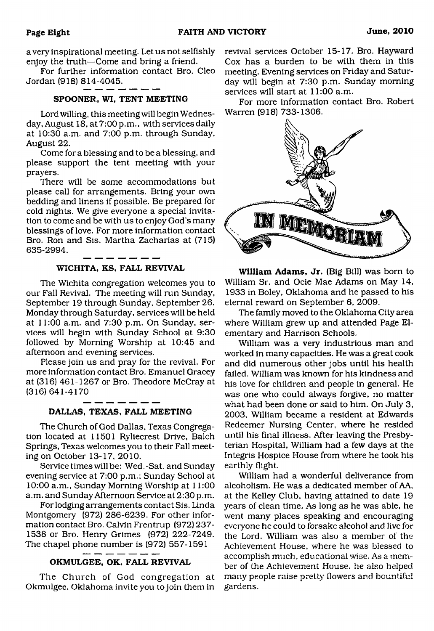a very inspirational meeting. Let us not selfishly enjoy the truth—Come and bring a friend.

For further information contact Bro. Cleo Jordan (918) 814-4045.

#### **SPOONER, WI, TENT MEETING**

Lord willing, this meeting will begin Wednesday, August 18, at 7:00 p.m., with services daily at 10:30 a.m. and 7:00 p.m. through Sunday, August 22.

Come for a blessing and to be a blessing, and please support the tent meeting with your prayers.

There will be some accommodations but please call for arrangements. Bring your own bedding and linens if possible. Be prepared for cold nights. We give everyone a special invitation to come and be with us to enjoy God's many blessings of love. For more information contact Bro. Ron and Sis. Martha Zacharias at (715) 635-2994.

#### $- - -$ **WICHITA, KS, FALL REVIVAL**

The Wichita congregation welcomes you to our Fall Revival. The meeting will run Sunday, September 19 through Sunday, September 26. Monday through Saturday, services will be held at 11:00 a.m. and 7:30 p.m. On Sunday, services will begin with Sunday School at 9:30 followed by Morning Worship at 10:45 and afternoon and evening services.

Please join us and pray for the revival. For more information contact Bro. Emanuel Gracey at (316) 461-1267 or Bro. Theodore McCray at (316) 641-4170

#### **DALLAS, TEXAS, FALL MEETING**

The Church of God Dallas, Texas Congregation located at 11501 Ryliecrest Drive, Balch Springs, Texas welcomes you to their Fall meeting on October 13-17, 2010.

Service times will be: Wed.-Sat. and Sunday evening service at 7:00 p.m.; Sunday School at 10:00 a.m., Sunday Morning Worship at 11:00 a.m. and Sunday Afternoon Service at 2:30 p.m.

For lodging arrangements contact Sis. Linda Montgomery (972) 286-6239. For other information contact Bro. Calvin Frentrup (972) 237- 1538 or Bro. Henry Grimes (972) 222-7249. The chapel phone number is (972) 557-1591

#### **OKMULGEE, OK, FALL REVIVAL**

The Church of God congregation at Okmulgee. Oklahoma invite you to join them in revival services October 15-17. Bro. Hayward Cox has a burden to be with them in this meeting. Evening services on Friday and Saturday will begin at 7:30 p.m. Sunday morning services will start at 11:00 a.m.

For more information contact Bro. Robert Warren (918) 733-1306.



**William Adams, Jr.** (Big Bill) was born to William Sr. and Ocie Mae Adams on May 14, 1933 in Boley, Oklahoma and he passed to his eternal reward on September 6, 2009.

The family moved to the Oklahoma City area where William grew up and attended Page Elementary and Harrison Schools.

William was a very industrious man and worked in many capacities. He was a great cook and did numerous other jobs until his health failed. William was known for his kindness and his love for children and people in general. He was one who could always forgive, no matter what had been done or said to him. On July 3, 2003, William became a resident at Edwards Redeemer Nursing Center, where he resided until his final illness. After leaving the Presbyterian Hospital, William had a few days at the Integris Hospice House from where he took his earthly flight.

William had a wonderful deliverance from alcoholism. He was a dedicated member of AA, at the Kelley Club, having attained to date 19 years of clean time. As long as he was able, he went many places speaking and encouraging eveiyone he could to forsake alcohol and live for the Lord. William was also a member of the Achievement House, where he was blessed to accomplish much, educational wise. As a member of the Achievement House, he also helped many people raise pretty flowers and bountiful gardens.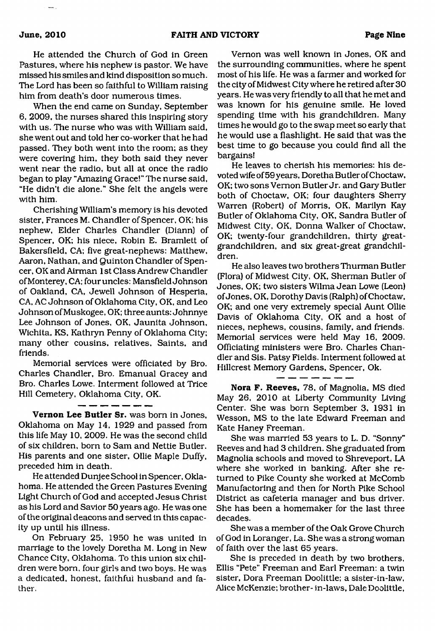He attended the Church of God in Green Pastures, where his nephew is pastor. We have missed his smiles and kind disposition so much. The Lord has been so faithful to William raising him from death's door numerous times.

When the end came on Sunday, September 6, 2009, the nurses shared this inspiring story with us. The nurse who was with William said, she went out and told her co-worker that he had passed. They both went into the room; as they were covering him, they both said they never went near the radio, but all at once the radio began to play "Amazing Grace!" The nurse said, "He didn't die alone." She felt the angels were with him.

Cherishing William's memory is his devoted sister, Frances M. Chandler of Spencer, OK; his nephew, Elder Charles Chandler (Diann) of Spencer, OK; his niece, Robin E. Bramlett of Bakersfield, CA; five great-nephews: Matthew, Aaron, Nathan, and Quinton Chandler of Spencer, OK and Airman 1st Class Andrew Chandler of Monterey, CA; four uncles: Mansfield Johnson of Oakland, CA, Jewell Johnson of Hesperia, CA, AC Johnson of Oklahoma City, OK, and Leo Johnson of Muskogee, OK; three aunts: Johnnye Lee Johnson of Jones, OK, Jaunita Johnson, Wichita, KS, Kathryn Penny of Oklahoma City; many other cousins, relatives. Saints, and friends.

Memorial services were officiated by Bro. Charles Chandler, Bro. Emanual Gracey and Bro. Charles Lowe. Interment followed at Trice Hill Cemetery, Oklahoma City, OK.

 $-$ 

**Vernon Lee Butler Sr.** was bom in Jones, Oklahoma on May 14, 1929 and passed from this life May 10, 2009. He was the second child of six children, born to Sam and Nettie Butler. His parents and one sister, Ollie Maple Duffy, preceded him in death.

He attended Dunjee School in Spencer, Oklahoma. He attended the Green Pastures Evening Light Church of God and accepted Jesus Christ as his Lord and Savior 50 years ago. He was one of the original deacons and served in this capacity up until his illness.

On February 25, 1950 he was united in marriage to the lovely Doretha M. Long in New Chance City, Oklahoma. To this union six children were bom, four girls and two boys. He was a dedicated, honest, faithful husband and father.

Vernon was well known in Jones, OK and the surrounding communities, where he spent most of his life. He was a farmer and worked for the city of Midwest City where he retired after 30 years. He was very friendly to all that he met and was known for his genuine smile. He loved spending time with his grandchildren. Many times he would go to the swap meet so early that he would use a flashlight. He said that was the best time to go because you could find all the bargains!

He leaves to cherish his memories: his devoted wife of 59 years, Doretha Butler of Choctaw, OK; two sons Vernon Butler Jr. and Gary Butler both of Choctaw, OK; four daughters Sherry Warren (Robert) of Morris, OK, Marilyn Kay Butler of Oklahoma City, OK, Sandra Butler of Midwest City, OK, Donna Walker of Choctaw, OK; twenty-four grandchildren, thirty greatgrandchildren, and six great-great grandchildren.

He also leaves two brothers Thurman Butler (Flora) of Midwest City, OK, Sherman Butler of Jones, OK; two sisters Wilma Jean Lowe (Leon) of Jones, OK, Dorothy Davis (Ralph) of Choctaw, OK; and one very extremely special Aunt Ollie Davis of Oklahoma City, OK and a host of nieces, nephews, cousins, family, and friends. Memorial services were held May 16, 2009. Officiating ministers were Bro. Charles Chandler and Sis. Patsy Fields. Interment followed at Hillcrest Memory Gardens, Spencer, Ok.

**Nora F. Reeves,** 78, of Magnolia, MS died May 26, 2010 at Liberty Community Living Center. She was born September 3, 1931 in Wesson, MS to the late Edward Freeman and Kate Haney Freeman.

 $\overline{\phantom{a}}$ .

She was married 53 years to L. D. "Sonny" Reeves and had 3 children. She graduated from Magnolia schools and moved to Shreveport, LA where she worked in banking. After she returned to Pike County she worked at McComb Manufactoring and then for North Pike School District as cafeteria manager and bus driver. She has been a homemaker for the last three decades.

She was a member of the Oak Grove Church of God in Loranger, La. She was a strong woman of faith over the last 65 years.

She is preceded in death by two brothers, Ellis "Pete" Freeman and Earl Freeman: a twin sister, Dora Freeman Doolittle; a sister-in-law, Alice McKenzie; brother- in-laws, Dale Doolittle,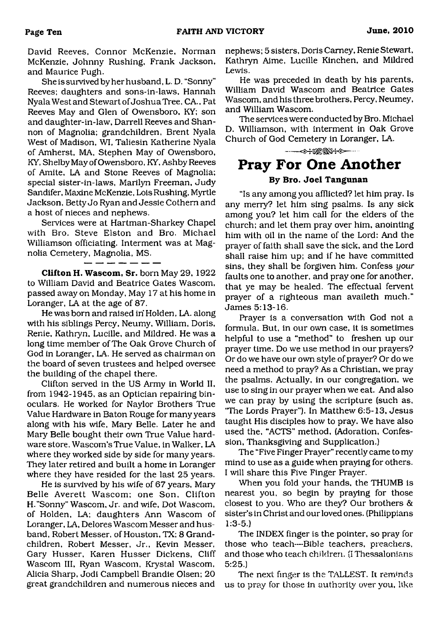David Reeves, Connor McKenzie, Norman McKenzie, Johnny Rushing, Frank Jackson, and Maurice Pugh.

She is survived by her husband, L. D. "Sonny" Reeves; daughters and sons-in-laws, Hannah NyalaWestand Stewart of Joshua Tree, CA., Pat Reeves May and Glen of Owensboro, KY; son and daughter-in-law, Darrell Reeves and Shannon of Magnolia; grandchildren, Brent Nyala West of Madison, WI, Taliesin Katherine Nyala of Amherst, MA, Stephen May of Owensboro, KY, Shelby May of Owensboro, KY, Ashby Reeves of Amite, LA and Stone Reeves of Magnolia; special sister-in-laws, Marilyn Freeman, Judy Sandifer, Maxine McKenzie, Lois Rushing, Myrtle Jackson, Betty Jo Ryan and Jessie Cothem and a host of nieces and nephews.

Services were at Hartman-Sharkey Chapel with Bro. Steve Elston and Bro. Michael Williamson officiating. Interment was at Magnolia Cemetery, Magnolia, MS.

**Clifton H. Wascom, Sr.** born May 29, 1922 to William David and Beatrice Gates Wascom, passed away on Monday, May 17 at his home in

Loranger, LA at the age of 87. He was born and raised in' Holden, LA. along with his siblings Percy, Neumy, William, Doris, Renie, Kathryn, Lucille, and Mildred. He was a long time member of The Oak Grove Church of God in Loranger, LA. He served as chairman on the board of seven trustees and helped oversee the building of the chapel there.

Clifton served in the US Army in World II, from 1942-1945, as an Optician repairing binoculars. He worked for Naylor Brothers True Value Hardware in Baton Rouge for many years along with his wife, Mary Belle. Later he and Mary Belle bought their own True Value hardware store, Wascom'sTrue Value, in Walker, LA where they worked side by side for many years. They later retired and built a home in Loranger where they have resided for the last 25 years.

He is survived by his wife of 67 years, Mary Belle Averett Wascom; one Son, Clifton H."Sonny" Wascom, Jr. and wife, Dot Wascom, of Holden, LA; daughters Ann Wascom of Loranger, LA, Delores Wascom Messer and husband, Robert Messer, of Houston, TX; 8 Grandchildren, Robert Messer, Jr., Kevin Messer, Gary Husser, Karen Husser Dickens, Cliff Wascom III, Ryan Wascom, Krystal Wascom, Alicia Sharp, Jodi Campbell Brandie Olsen; 20 great grandchildren and numerous nieces and

nephews; 5 sisters, Doris Carney, Renie Stewart, Kathryn Aime, Lucille Kinchen, and Mildred Lewis.

He was preceded in death by his parents, William David Wascom and Beatrice Gates Wascom, and his three brothers, Percy, Neumey, and William Wascom.

The services were conducted by Bro. Michael D. Williamson, with interment in Oak Grove Church of God Cemetery in Loranger, LA.

---- ------------------- **Pray For One Another**

#### **By Bro. Joel Tangunan**

"Is any among you afflicted? let him pray. Is any merry? let him sing psalms. Is any sick among you? let him call for the elders of the church; and let them pray over him, anointing him with oil in the name of the Lord; And the prayer of faith shall save the sick, and the Lord shall raise him up; and if he have committed sins, they shall be forgiven him. Confess *your* faults one to another, and pray one for another, that ye may be healed. The effectual fervent prayer of a righteous man availeth much." James 5:13-16.

Prayer is a conversation with God not a formula. But, in our own case, it is sometimes helpful to use a "method" to freshen up our prayer time. Do we use method in our prayers? Or do we have our own style of prayer? Or do we need a method to pray? As a Christian, we pray the psalms. Actually, in our congregation, we use to sing in our prayer when we eat. And also we can pray by using the scripture (such as, "The Lords Prayer"). In Matthew 6:5-13, Jesus taught His disciples how to pray. We have also used the, "ACTS" method, (Adoration, Confession, Thanksgiving and Supplication.)

The "Five Finger Prayer" recently came to my mind to use as a guide when praying for others. I will share this Five Finger Prayer.

When you fold your hands, the THUMB is nearest you, so begin by praying for those closest to you. Who are they? Our brothers & sister's in Christ and our loved ones. (Philippians 1:3-5.)

The INDEX finger is the pointer, so pray for those who teach—Bible teachers, preachers, and those who teach children. (IThessalonians 5:25.)

The next finger is the TALLEST. It reminds us to pray for those in authority over you, like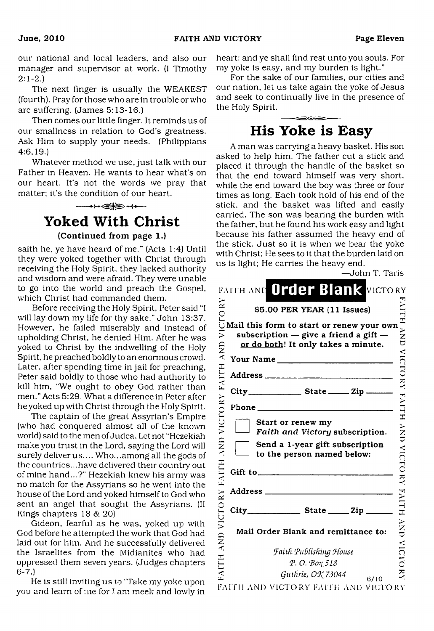our national and local leaders, and also our manager and supervisor at work. (I Timothy  $2:1-2.$ 

The next finger is usually the WEAKEST (fourth). Pray for those who are in trouble or who are suffering. (James 5:13-16.)

Then comes our little finger. It reminds us of our smallness in relation to God's greatness. Ask Him to supply your needs. (Philippians 4:6,19.)

Whatever method we use, just talk with our Father in Heaven. He wants to hear what's on our heart. It's not the words we pray that matter: it's the condition of our heart.

# $- + -$ **Yoked With Christ (Continued from page 1.)**

saith he, ye have heard of me." (Acts 1:4) Until they were yoked together with Christ through receiving the Holy Spirit, they lacked authority and wisdom and were afraid. They were unable to go into the world and preach the Gospel, which Christ had commanded them.

Before receiving the Holy Spirit, Peter said "I will lay down my life for thy sake." John 13:37. However, he failed miserably and instead of upholding Christ, he denied Him. After he was yoked to Christ by the indwelling of the Holy Spirit, he preached boldly to an enormous crowd. Later, after spending time in jail for preaching, Peter said boldly to those who had authority to kill him, "We ought to obey God rather than men." Acts 5:29. What a difference in Peter after he yoked up with Christ through the Holy Spirit.

The captain of the great Assyrian's Empire (who had conquered almost all of the known world) said to the men of Judea, Let not "Hezekiah make you trust in the Lord, saying the Lord will surely deliver us.... Who...among all the gods of the countries...have delivered their country out of mine hand...?" Hezekiah knew his army was no match for the Assyrians so he went into the house of the Lord and yoked himself to God who sent an angel that sought the Assyrians. (II Kings chapters 18 & 20)

Gideon, fearful as he was, yoked up with God before he attempted the work that God had laid out for him. And he successfully delivered the Israelites from the Midianites who had oppressed them seven years. (Judges chapters 6-7.)

He is still inviting us to 'Take my yoke upon you and learn of me for ! am meek and lowly in heart: and ye shall find rest unto you souls. For my yoke is easy, and my burden is light."

For the sake of our families, our cities and our nation, let us take again the yoke of Jesus and seek to continually live in the presence of the Holy Spirit.

# <u>ace</u> **His Yoke is Easy**

A man was carrying a heavy basket. His son asked to help him. The father cut a stick and placed it through the handle of the basket so that the end toward himself was very short, while the end toward the boy was three or four times as long. Each took hold of his end of the stick, and the basket was lifted and easily carried. The son was bearing the burden with the father, but he found his work easy and light because his father assumed the heavy end of the stick. Just so it is when we bear the yoke with Christ: He sees to it that the burden laid on us is light: He carries the heavy end.

|                      | —John T. Taris                                                                                                                |                          |
|----------------------|-------------------------------------------------------------------------------------------------------------------------------|--------------------------|
|                      | FAITH AND Order Blank VICTORY                                                                                                 |                          |
| $\tilde{\mathbf{z}}$ | \$5.00 PER YEAR (11 Issues)                                                                                                   |                          |
| VICTO                | Mail this form to start or renew your own<br>subscription $-$ give a friend a gift $-$<br>or do both! It only takes a minute. | NHH YND                  |
|                      | Your Name                                                                                                                     |                          |
|                      |                                                                                                                               |                          |
| VICTORY FAITH AND    | City__________________________ State __________ Zip _________                                                                 | NICORY FAILT             |
|                      |                                                                                                                               |                          |
|                      | Start or renew my<br>Faith and Victory subscription.                                                                          |                          |
| FAITH AND            | Send a 1-year gift subscription<br>to the person named below:                                                                 | <b>NND NIGTO RY</b>      |
|                      |                                                                                                                               |                          |
|                      |                                                                                                                               |                          |
| VICTORY              |                                                                                                                               | <b>ADICITY MONECALLY</b> |
| <b>GNA</b>           | Mail Order Blank and remittance to:                                                                                           |                          |
|                      | Faith Publishing House                                                                                                        |                          |
| HUNE                 | P.O. Βοχ 518                                                                                                                  |                          |
|                      | Guthrie, OK 73044<br>6/10                                                                                                     |                          |
|                      | FAITH AND VICTORY FAITH AND VICTORY                                                                                           |                          |